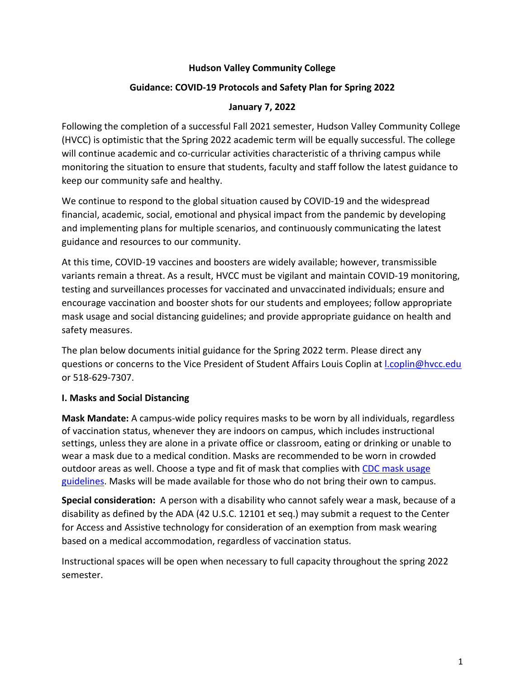#### **Hudson Valley Community College**

#### **Guidance: COVID-19 Protocols and Safety Plan for Spring 2022**

#### **January 7, 2022**

Following the completion of a successful Fall 2021 semester, Hudson Valley Community College (HVCC) is optimistic that the Spring 2022 academic term will be equally successful. The college will continue academic and co-curricular activities characteristic of a thriving campus while monitoring the situation to ensure that students, faculty and staff follow the latest guidance to keep our community safe and healthy.

We continue to respond to the global situation caused by COVID-19 and the widespread financial, academic, social, emotional and physical impact from the pandemic by developing and implementing plans for multiple scenarios, and continuously communicating the latest guidance and resources to our community.

At this time, COVID-19 vaccines and boosters are widely available; however, transmissible variants remain a threat. As a result, HVCC must be vigilant and maintain COVID-19 monitoring, testing and surveillances processes for vaccinated and unvaccinated individuals; ensure and encourage vaccination and booster shots for our students and employees; follow appropriate mask usage and social distancing guidelines; and provide appropriate guidance on health and safety measures.

The plan below documents initial guidance for the Spring 2022 term. Please direct any questions or concerns to the Vice President of Student Affairs Louis Coplin at [l.coplin@hvcc.edu](mailto:l.coplin@hvcc.edu) or 518-629-7307.

### **I. Masks and Social Distancing**

**Mask Mandate:** A campus-wide policy requires masks to be worn by all individuals, regardless of vaccination status, whenever they are indoors on campus, which includes instructional settings, unless they are alone in a private office or classroom, eating or drinking or unable to wear a mask due to a medical condition. Masks are recommended to be worn in crowded outdoor areas as well. Choose a type and fit of mask that complies with [CDC mask usage](https://www.cdc.gov/coronavirus/2019-ncov/prevent-getting-sick/diy-cloth-face-coverings.html)  [guidelines.](https://www.cdc.gov/coronavirus/2019-ncov/prevent-getting-sick/diy-cloth-face-coverings.html) Masks will be made available for those who do not bring their own to campus.

**Special consideration:** A person with a disability who cannot safely wear a mask, because of a disability as defined by the ADA (42 U.S.C. 12101 et seq.) may submit a request to the Center for Access and Assistive technology for consideration of an exemption from mask wearing based on a medical accommodation, regardless of vaccination status.

Instructional spaces will be open when necessary to full capacity throughout the spring 2022 semester.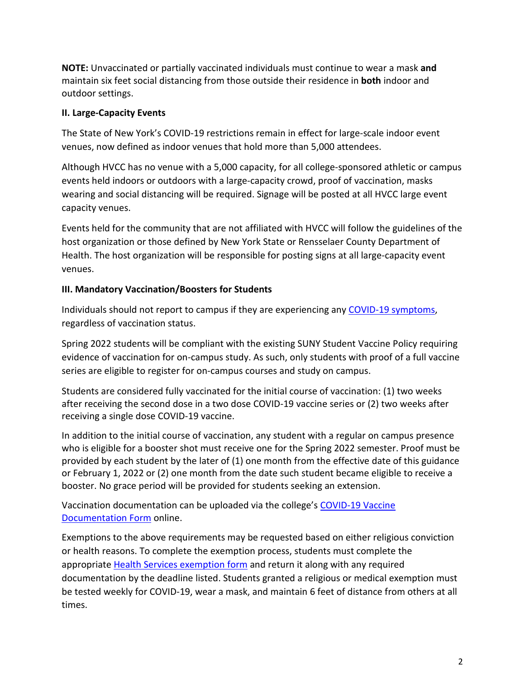**NOTE:** Unvaccinated or partially vaccinated individuals must continue to wear a mask **and** maintain six feet social distancing from those outside their residence in **both** indoor and outdoor settings.

### **II. Large-Capacity Events**

The State of New York's COVID-19 restrictions remain in effect for large-scale indoor event venues, now defined as indoor venues that hold more than 5,000 attendees.

Although HVCC has no venue with a 5,000 capacity, for all college-sponsored athletic or campus events held indoors or outdoors with a large-capacity crowd, proof of vaccination, masks wearing and social distancing will be required. Signage will be posted at all HVCC large event capacity venues.

Events held for the community that are not affiliated with HVCC will follow the guidelines of the host organization or those defined by New York State or Rensselaer County Department of Health. The host organization will be responsible for posting signs at all large-capacity event venues.

# **III. Mandatory Vaccination/Boosters for Students**

Individuals should not report to campus if they are experiencing any [COVID-19 symptoms,](https://www.cdc.gov/coronavirus/2019-ncov/symptoms-testing/symptoms.html) regardless of vaccination status.

Spring 2022 students will be compliant with the existing SUNY Student Vaccine Policy requiring evidence of vaccination for on-campus study. As such, only students with proof of a full vaccine series are eligible to register for on-campus courses and study on campus.

Students are considered fully vaccinated for the initial course of vaccination: (1) two weeks after receiving the second dose in a two dose COVID-19 vaccine series or (2) two weeks after receiving a single dose COVID-19 vaccine.

In addition to the initial course of vaccination, any student with a regular on campus presence who is eligible for a booster shot must receive one for the Spring 2022 semester. Proof must be provided by each student by the later of (1) one month from the effective date of this guidance or February 1, 2022 or (2) one month from the date such student became eligible to receive a booster. No grace period will be provided for students seeking an extension.

Vaccination documentation can be uploaded via the college's [COVID-19 Vaccine](mailto:https://www.hvcc.edu/studentservices/health-services/forms/covid19-documentation.html)  [Documentation Form](mailto:https://www.hvcc.edu/studentservices/health-services/forms/covid19-documentation.html) online.

Exemptions to the above requirements may be requested based on either religious conviction or health reasons. To complete the exemption process, students must complete the appropriate [Health Services exemption form](https://www.hvcc.edu/studentservices/health-services/forms/index.html) and return it along with any required documentation by the deadline listed. Students granted a religious or medical exemption must be tested weekly for COVID-19, wear a mask, and maintain 6 feet of distance from others at all times.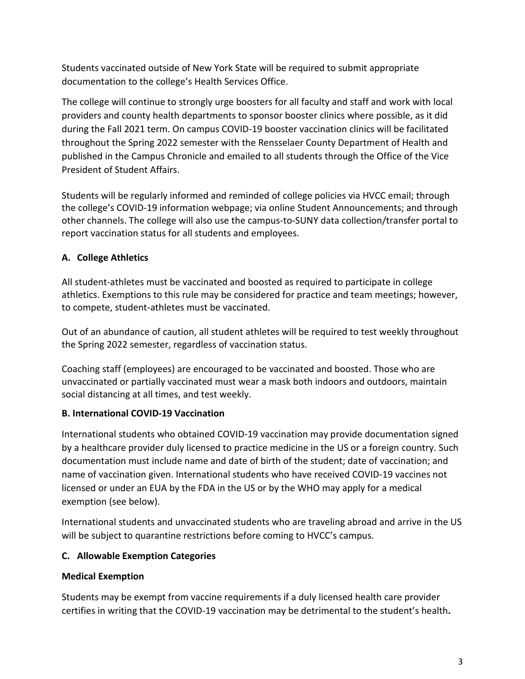Students vaccinated outside of New York State will be required to submit appropriate documentation to the college's Health Services Office.

The college will continue to strongly urge boosters for all faculty and staff and work with local providers and county health departments to sponsor booster clinics where possible, as it did during the Fall 2021 term. On campus COVID-19 booster vaccination clinics will be facilitated throughout the Spring 2022 semester with the Rensselaer County Department of Health and published in the Campus Chronicle and emailed to all students through the Office of the Vice President of Student Affairs.

Students will be regularly informed and reminded of college policies via HVCC email; through the college's COVID-19 information webpage; via online Student Announcements; and through other channels. The college will also use the campus-to-SUNY data collection/transfer portal to report vaccination status for all students and employees.

# **A. College Athletics**

All student-athletes must be vaccinated and boosted as required to participate in college athletics. Exemptions to this rule may be considered for practice and team meetings; however, to compete, student-athletes must be vaccinated.

Out of an abundance of caution, all student athletes will be required to test weekly throughout the Spring 2022 semester, regardless of vaccination status.

Coaching staff (employees) are encouraged to be vaccinated and boosted. Those who are unvaccinated or partially vaccinated must wear a mask both indoors and outdoors, maintain social distancing at all times, and test weekly.

# **B. International COVID-19 Vaccination**

International students who obtained COVID-19 vaccination may provide documentation signed by a healthcare provider duly licensed to practice medicine in the US or a foreign country. Such documentation must include name and date of birth of the student; date of vaccination; and name of vaccination given. International students who have received COVID-19 vaccines not licensed or under an EUA by the FDA in the US or by the WHO may apply for a medical exemption (see below).

International students and unvaccinated students who are traveling abroad and arrive in the US will be subject to quarantine restrictions before coming to HVCC's campus.

# **C. Allowable Exemption Categories**

# **Medical Exemption**

Students may be exempt from vaccine requirements if a duly licensed health care provider certifies in writing that the COVID-19 vaccination may be detrimental to the student's health**.**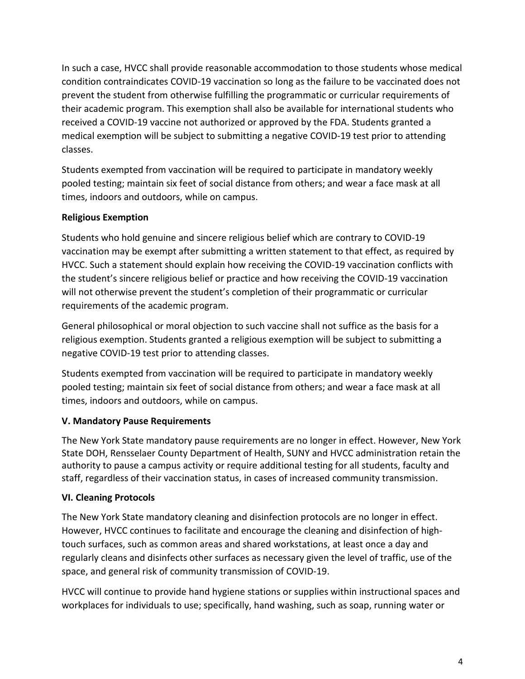In such a case, HVCC shall provide reasonable accommodation to those students whose medical condition contraindicates COVID-19 vaccination so long as the failure to be vaccinated does not prevent the student from otherwise fulfilling the programmatic or curricular requirements of their academic program. This exemption shall also be available for international students who received a COVID-19 vaccine not authorized or approved by the FDA. Students granted a medical exemption will be subject to submitting a negative COVID-19 test prior to attending classes.

Students exempted from vaccination will be required to participate in mandatory weekly pooled testing; maintain six feet of social distance from others; and wear a face mask at all times, indoors and outdoors, while on campus.

# **Religious Exemption**

Students who hold genuine and sincere religious belief which are contrary to COVID-19 vaccination may be exempt after submitting a written statement to that effect, as required by HVCC. Such a statement should explain how receiving the COVID-19 vaccination conflicts with the student's sincere religious belief or practice and how receiving the COVID-19 vaccination will not otherwise prevent the student's completion of their programmatic or curricular requirements of the academic program.

General philosophical or moral objection to such vaccine shall not suffice as the basis for a religious exemption. Students granted a religious exemption will be subject to submitting a negative COVID-19 test prior to attending classes.

Students exempted from vaccination will be required to participate in mandatory weekly pooled testing; maintain six feet of social distance from others; and wear a face mask at all times, indoors and outdoors, while on campus.

# **V. Mandatory Pause Requirements**

The New York State mandatory pause requirements are no longer in effect. However, New York State DOH, Rensselaer County Department of Health, SUNY and HVCC administration retain the authority to pause a campus activity or require additional testing for all students, faculty and staff, regardless of their vaccination status, in cases of increased community transmission.

# **VI. Cleaning Protocols**

The New York State mandatory cleaning and disinfection protocols are no longer in effect. However, HVCC continues to facilitate and encourage the cleaning and disinfection of hightouch surfaces, such as common areas and shared workstations, at least once a day and regularly cleans and disinfects other surfaces as necessary given the level of traffic, use of the space, and general risk of community transmission of COVID-19.

HVCC will continue to provide hand hygiene stations or supplies within instructional spaces and workplaces for individuals to use; specifically, hand washing, such as soap, running water or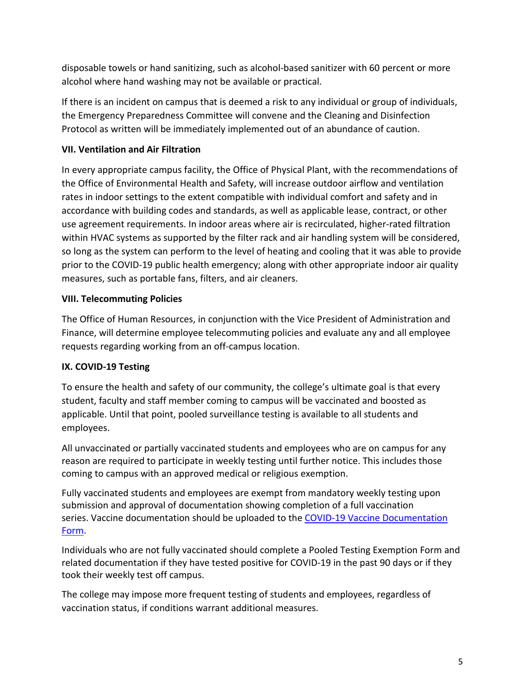disposable towels or hand sanitizing, such as alcohol-based sanitizer with 60 percent or more alcohol where hand washing may not be available or practical.

If there is an incident on campus that is deemed a risk to any individual or group of individuals, the Emergency Preparedness Committee will convene and the Cleaning and Disinfection Protocol as written will be immediately implemented out of an abundance of caution.

### **VII. Ventilation and Air Filtration**

In every appropriate campus facility, the Office of Physical Plant, with the recommendations of the Office of Environmental Health and Safety, will increase outdoor airflow and ventilation rates in indoor settings to the extent compatible with individual comfort and safety and in accordance with building codes and standards, as well as applicable lease, contract, or other use agreement requirements. In indoor areas where air is recirculated, higher-rated filtration within HVAC systems as supported by the filter rack and air handling system will be considered, so long as the system can perform to the level of heating and cooling that it was able to provide prior to the COVID-19 public health emergency; along with other appropriate indoor air quality measures, such as portable fans, filters, and air cleaners.

### **VIII. Telecommuting Policies**

The Office of Human Resources, in conjunction with the Vice President of Administration and Finance, will determine employee telecommuting policies and evaluate any and all employee requests regarding working from an off-campus location.

# **IX. COVID-19 Testing**

To ensure the health and safety of our community, the college's ultimate goal is that every student, faculty and staff member coming to campus will be vaccinated and boosted as applicable. Until that point, pooled surveillance testing is available to all students and employees.

All unvaccinated or partially vaccinated students and employees who are on campus for any reason are required to participate in weekly testing until further notice. This includes those coming to campus with an approved medical or religious exemption.

Fully vaccinated students and employees are exempt from mandatory weekly testing upon submission and approval of documentation showing completion of a full vaccination series. Vaccine documentation should be uploaded to the COVID-19 Vaccine Documentation [Form.](https://www.hvcc.edu/studentservices/health-services/forms/covid19-documentation.html)

Individuals who are not fully vaccinated should complete a Pooled Testing Exemption Form and related documentation if they have tested positive for COVID-19 in the past 90 days or if they took their weekly test off campus.

The college may impose more frequent testing of students and employees, regardless of vaccination status, if conditions warrant additional measures.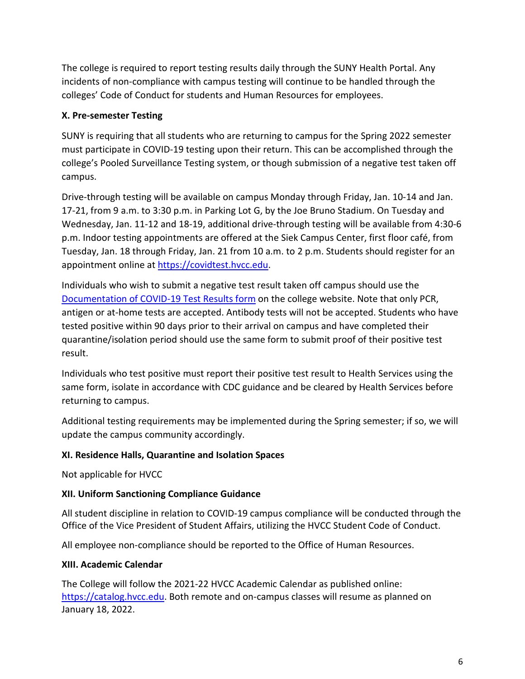The college is required to report testing results daily through the SUNY Health Portal. Any incidents of non-compliance with campus testing will continue to be handled through the colleges' Code of Conduct for students and Human Resources for employees.

### **X. Pre-semester Testing**

SUNY is requiring that all students who are returning to campus for the Spring 2022 semester must participate in COVID-19 testing upon their return. This can be accomplished through the college's Pooled Surveillance Testing system, or though submission of a negative test taken off campus.

Drive-through testing will be available on campus Monday through Friday, Jan. 10-14 and Jan. 17-21, from 9 a.m. to 3:30 p.m. in Parking Lot G, by the Joe Bruno Stadium. On Tuesday and Wednesday, Jan. 11-12 and 18-19, additional drive-through testing will be available from 4:30-6 p.m. Indoor testing appointments are offered at the Siek Campus Center, first floor café, from Tuesday, Jan. 18 through Friday, Jan. 21 from 10 a.m. to 2 p.m. Students should register for an appointment online at [https://covidtest.hvcc.edu.](https://covidtest.hvcc.edu/)

Individuals who wish to submit a negative test result taken off campus should use the [Documentation of COVID-19 Test Results form](https://www.hvcc.edu/studentservices/health-services/forms/covid19-test-documentation.html) on the college website. Note that only PCR, antigen or at-home tests are accepted. Antibody tests will not be accepted. Students who have tested positive within 90 days prior to their arrival on campus and have completed their quarantine/isolation period should use the same form to submit proof of their positive test result.

Individuals who test positive must report their positive test result to Health Services using the same form, isolate in accordance with CDC guidance and be cleared by Health Services before returning to campus.

Additional testing requirements may be implemented during the Spring semester; if so, we will update the campus community accordingly.

### **XI. Residence Halls, Quarantine and Isolation Spaces**

Not applicable for HVCC

### **XII. Uniform Sanctioning Compliance Guidance**

All student discipline in relation to COVID-19 campus compliance will be conducted through the Office of the Vice President of Student Affairs, utilizing the HVCC Student Code of Conduct.

All employee non-compliance should be reported to the Office of Human Resources.

#### **XIII. Academic Calendar**

The College will follow the 2021-22 HVCC Academic Calendar as published online: [https://catalog.hvcc.edu.](https://catalog.hvcc.edu/) Both remote and on-campus classes will resume as planned on January 18, 2022.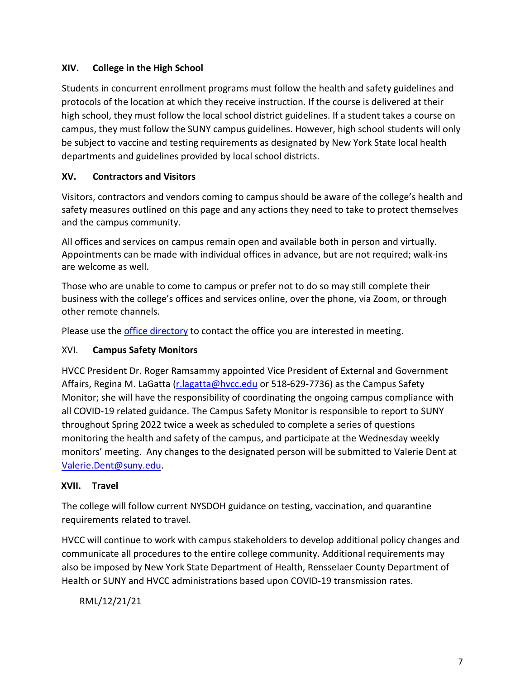# **XIV. College in the High School**

Students in concurrent enrollment programs must follow the health and safety guidelines and protocols of the location at which they receive instruction. If the course is delivered at their high school, they must follow the local school district guidelines. If a student takes a course on campus, they must follow the SUNY campus guidelines. However, high school students will only be subject to vaccine and testing requirements as designated by New York State local health departments and guidelines provided by local school districts.

# **XV. Contractors and Visitors**

Visitors, contractors and vendors coming to campus should be aware of the college's health and safety measures outlined on this page and any actions they need to take to protect themselves and the campus community.

All offices and services on campus remain open and available both in person and virtually. Appointments can be made with individual offices in advance, but are not required; walk-ins are welcome as well.

Those who are unable to come to campus or prefer not to do so may still complete their business with the college's offices and services online, over the phone, via Zoom, or through other remote channels.

Please use the *[office directory](https://www.hvcc.edu/about/directories/index.html)* to contact the office you are interested in meeting.

### XVI. **Campus Safety Monitors**

HVCC President Dr. Roger Ramsammy appointed Vice President of External and Government Affairs, Regina M. LaGatta (r. lagatta@hvcc.edu or 518-629-7736) as the Campus Safety Monitor; she will have the responsibility of coordinating the ongoing campus compliance with all COVID-19 related guidance. The Campus Safety Monitor is responsible to report to SUNY throughout Spring 2022 twice a week as scheduled to complete a series of questions monitoring the health and safety of the campus, and participate at the Wednesday weekly monitors' meeting. Any changes to the designated person will be submitted to Valerie Dent at [Valerie.Dent@suny.edu.](mailto:Valerie.Dent@suny.edu)

### **XVII. Travel**

The college will follow current NYSDOH guidance on testing, vaccination, and quarantine requirements related to travel.

HVCC will continue to work with campus stakeholders to develop additional policy changes and communicate all procedures to the entire college community. Additional requirements may also be imposed by New York State Department of Health, Rensselaer County Department of Health or SUNY and HVCC administrations based upon COVID-19 transmission rates.

RML/12/21/21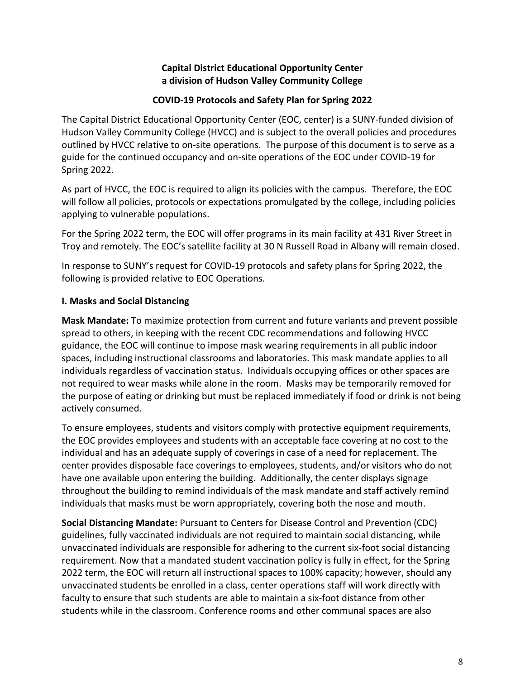### **Capital District Educational Opportunity Center a division of Hudson Valley Community College**

#### **COVID-19 Protocols and Safety Plan for Spring 2022**

The Capital District Educational Opportunity Center (EOC, center) is a SUNY-funded division of Hudson Valley Community College (HVCC) and is subject to the overall policies and procedures outlined by HVCC relative to on-site operations. The purpose of this document is to serve as a guide for the continued occupancy and on-site operations of the EOC under COVID-19 for Spring 2022.

As part of HVCC, the EOC is required to align its policies with the campus. Therefore, the EOC will follow all policies, protocols or expectations promulgated by the college, including policies applying to vulnerable populations.

For the Spring 2022 term, the EOC will offer programs in its main facility at 431 River Street in Troy and remotely. The EOC's satellite facility at 30 N Russell Road in Albany will remain closed.

In response to SUNY's request for COVID-19 protocols and safety plans for Spring 2022, the following is provided relative to EOC Operations.

### **I. Masks and Social Distancing**

**Mask Mandate:** To maximize protection from current and future variants and prevent possible spread to others, in keeping with the recent CDC recommendations and following HVCC guidance, the EOC will continue to impose mask wearing requirements in all public indoor spaces, including instructional classrooms and laboratories. This mask mandate applies to all individuals regardless of vaccination status. Individuals occupying offices or other spaces are not required to wear masks while alone in the room. Masks may be temporarily removed for the purpose of eating or drinking but must be replaced immediately if food or drink is not being actively consumed.

To ensure employees, students and visitors comply with protective equipment requirements, the EOC provides employees and students with an acceptable face covering at no cost to the individual and has an adequate supply of coverings in case of a need for replacement. The center provides disposable face coverings to employees, students, and/or visitors who do not have one available upon entering the building. Additionally, the center displays signage throughout the building to remind individuals of the mask mandate and staff actively remind individuals that masks must be worn appropriately, covering both the nose and mouth.

**Social Distancing Mandate:** Pursuant to Centers for Disease Control and Prevention (CDC) guidelines, fully vaccinated individuals are not required to maintain social distancing, while unvaccinated individuals are responsible for adhering to the current six-foot social distancing requirement. Now that a mandated student vaccination policy is fully in effect, for the Spring 2022 term, the EOC will return all instructional spaces to 100% capacity; however, should any unvaccinated students be enrolled in a class, center operations staff will work directly with faculty to ensure that such students are able to maintain a six-foot distance from other students while in the classroom. Conference rooms and other communal spaces are also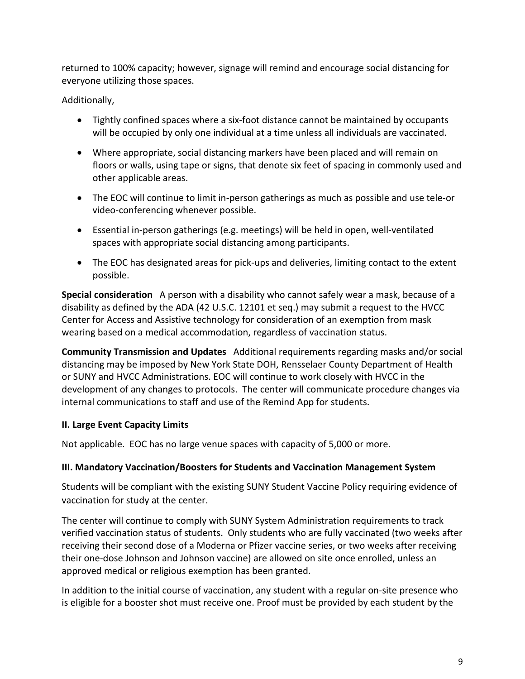returned to 100% capacity; however, signage will remind and encourage social distancing for everyone utilizing those spaces.

# Additionally,

- Tightly confined spaces where a six-foot distance cannot be maintained by occupants will be occupied by only one individual at a time unless all individuals are vaccinated.
- Where appropriate, social distancing markers have been placed and will remain on floors or walls, using tape or signs, that denote six feet of spacing in commonly used and other applicable areas.
- The EOC will continue to limit in-person gatherings as much as possible and use tele-or video-conferencing whenever possible.
- Essential in-person gatherings (e.g. meetings) will be held in open, well-ventilated spaces with appropriate social distancing among participants.
- The EOC has designated areas for pick-ups and deliveries, limiting contact to the extent possible.

**Special consideration** A person with a disability who cannot safely wear a mask, because of a disability as defined by the ADA (42 U.S.C. 12101 et seq.) may submit a request to the HVCC Center for Access and Assistive technology for consideration of an exemption from mask wearing based on a medical accommodation, regardless of vaccination status.

**Community Transmission and Updates** Additional requirements regarding masks and/or social distancing may be imposed by New York State DOH, Rensselaer County Department of Health or SUNY and HVCC Administrations. EOC will continue to work closely with HVCC in the development of any changes to protocols. The center will communicate procedure changes via internal communications to staff and use of the Remind App for students.

### **II. Large Event Capacity Limits**

Not applicable. EOC has no large venue spaces with capacity of 5,000 or more.

### **III. Mandatory Vaccination/Boosters for Students and Vaccination Management System**

Students will be compliant with the existing SUNY Student Vaccine Policy requiring evidence of vaccination for study at the center.

The center will continue to comply with SUNY System Administration requirements to track verified vaccination status of students. Only students who are fully vaccinated (two weeks after receiving their second dose of a Moderna or Pfizer vaccine series, or two weeks after receiving their one-dose Johnson and Johnson vaccine) are allowed on site once enrolled, unless an approved medical or religious exemption has been granted.

In addition to the initial course of vaccination, any student with a regular on-site presence who is eligible for a booster shot must receive one. Proof must be provided by each student by the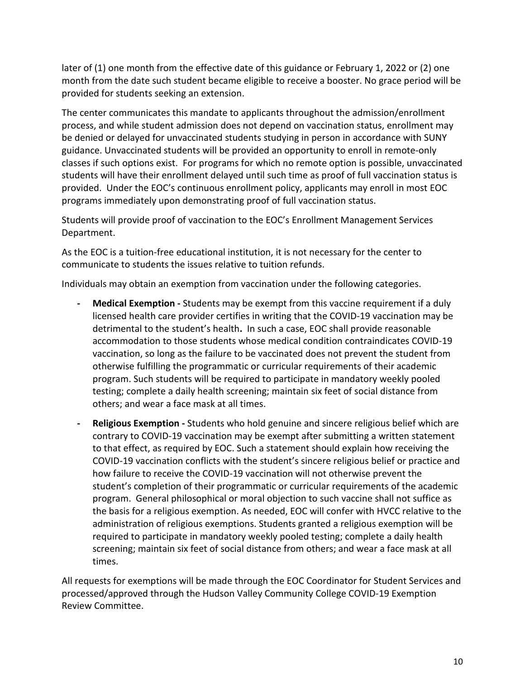later of (1) one month from the effective date of this guidance or February 1, 2022 or (2) one month from the date such student became eligible to receive a booster. No grace period will be provided for students seeking an extension.

The center communicates this mandate to applicants throughout the admission/enrollment process, and while student admission does not depend on vaccination status, enrollment may be denied or delayed for unvaccinated students studying in person in accordance with SUNY guidance. Unvaccinated students will be provided an opportunity to enroll in remote-only classes if such options exist. For programs for which no remote option is possible, unvaccinated students will have their enrollment delayed until such time as proof of full vaccination status is provided. Under the EOC's continuous enrollment policy, applicants may enroll in most EOC programs immediately upon demonstrating proof of full vaccination status.

Students will provide proof of vaccination to the EOC's Enrollment Management Services Department.

As the EOC is a tuition-free educational institution, it is not necessary for the center to communicate to students the issues relative to tuition refunds.

Individuals may obtain an exemption from vaccination under the following categories.

- **- Medical Exemption -** Students may be exempt from this vaccine requirement if a duly licensed health care provider certifies in writing that the COVID-19 vaccination may be detrimental to the student's health**.** In such a case, EOC shall provide reasonable accommodation to those students whose medical condition contraindicates COVID-19 vaccination, so long as the failure to be vaccinated does not prevent the student from otherwise fulfilling the programmatic or curricular requirements of their academic program. Such students will be required to participate in mandatory weekly pooled testing; complete a daily health screening; maintain six feet of social distance from others; and wear a face mask at all times.
- **- Religious Exemption -** Students who hold genuine and sincere religious belief which are contrary to COVID-19 vaccination may be exempt after submitting a written statement to that effect, as required by EOC. Such a statement should explain how receiving the COVID-19 vaccination conflicts with the student's sincere religious belief or practice and how failure to receive the COVID-19 vaccination will not otherwise prevent the student's completion of their programmatic or curricular requirements of the academic program. General philosophical or moral objection to such vaccine shall not suffice as the basis for a religious exemption. As needed, EOC will confer with HVCC relative to the administration of religious exemptions. Students granted a religious exemption will be required to participate in mandatory weekly pooled testing; complete a daily health screening; maintain six feet of social distance from others; and wear a face mask at all times.

All requests for exemptions will be made through the EOC Coordinator for Student Services and processed/approved through the Hudson Valley Community College COVID-19 Exemption Review Committee.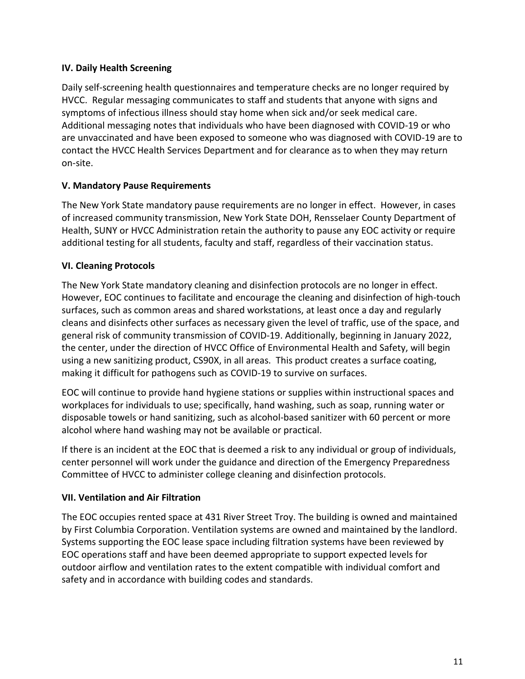### **IV. Daily Health Screening**

Daily self-screening health questionnaires and temperature checks are no longer required by HVCC. Regular messaging communicates to staff and students that anyone with signs and symptoms of infectious illness should stay home when sick and/or seek medical care. Additional messaging notes that individuals who have been diagnosed with COVID-19 or who are unvaccinated and have been exposed to someone who was diagnosed with COVID-19 are to contact the HVCC Health Services Department and for clearance as to when they may return on-site.

### **V. Mandatory Pause Requirements**

The New York State mandatory pause requirements are no longer in effect. However, in cases of increased community transmission, New York State DOH, Rensselaer County Department of Health, SUNY or HVCC Administration retain the authority to pause any EOC activity or require additional testing for all students, faculty and staff, regardless of their vaccination status.

### **VI. Cleaning Protocols**

The New York State mandatory cleaning and disinfection protocols are no longer in effect. However, EOC continues to facilitate and encourage the cleaning and disinfection of high-touch surfaces, such as common areas and shared workstations, at least once a day and regularly cleans and disinfects other surfaces as necessary given the level of traffic, use of the space, and general risk of community transmission of COVID-19. Additionally, beginning in January 2022, the center, under the direction of HVCC Office of Environmental Health and Safety, will begin using a new sanitizing product, CS90X, in all areas. This product creates a surface coating, making it difficult for pathogens such as COVID-19 to survive on surfaces.

EOC will continue to provide hand hygiene stations or supplies within instructional spaces and workplaces for individuals to use; specifically, hand washing, such as soap, running water or disposable towels or hand sanitizing, such as alcohol-based sanitizer with 60 percent or more alcohol where hand washing may not be available or practical.

If there is an incident at the EOC that is deemed a risk to any individual or group of individuals, center personnel will work under the guidance and direction of the Emergency Preparedness Committee of HVCC to administer college cleaning and disinfection protocols.

# **VII. Ventilation and Air Filtration**

The EOC occupies rented space at 431 River Street Troy. The building is owned and maintained by First Columbia Corporation. Ventilation systems are owned and maintained by the landlord. Systems supporting the EOC lease space including filtration systems have been reviewed by EOC operations staff and have been deemed appropriate to support expected levels for outdoor airflow and ventilation rates to the extent compatible with individual comfort and safety and in accordance with building codes and standards.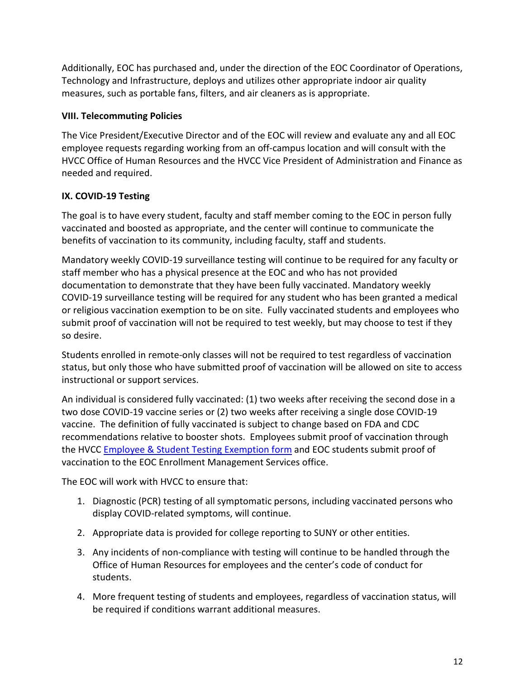Additionally, EOC has purchased and, under the direction of the EOC Coordinator of Operations, Technology and Infrastructure, deploys and utilizes other appropriate indoor air quality measures, such as portable fans, filters, and air cleaners as is appropriate.

### **VIII. Telecommuting Policies**

The Vice President/Executive Director and of the EOC will review and evaluate any and all EOC employee requests regarding working from an off-campus location and will consult with the HVCC Office of Human Resources and the HVCC Vice President of Administration and Finance as needed and required.

# **IX. COVID-19 Testing**

The goal is to have every student, faculty and staff member coming to the EOC in person fully vaccinated and boosted as appropriate, and the center will continue to communicate the benefits of vaccination to its community, including faculty, staff and students.

Mandatory weekly COVID-19 surveillance testing will continue to be required for any faculty or staff member who has a physical presence at the EOC and who has not provided documentation to demonstrate that they have been fully vaccinated. Mandatory weekly COVID-19 surveillance testing will be required for any student who has been granted a medical or religious vaccination exemption to be on site. Fully vaccinated students and employees who submit proof of vaccination will not be required to test weekly, but may choose to test if they so desire.

Students enrolled in remote-only classes will not be required to test regardless of vaccination status, but only those who have submitted proof of vaccination will be allowed on site to access instructional or support services.

An individual is considered fully vaccinated: (1) two weeks after receiving the second dose in a two dose COVID-19 vaccine series or (2) two weeks after receiving a single dose COVID-19 vaccine. The definition of fully vaccinated is subject to change based on FDA and CDC recommendations relative to booster shots. Employees submit proof of vaccination through the HVCC [Employee & Student Testing Exemption form](https://www.hvcc.edu/covid19/exemption-internal.html) and EOC students submit proof of vaccination to the EOC Enrollment Management Services office.

The EOC will work with HVCC to ensure that:

- 1. Diagnostic (PCR) testing of all symptomatic persons, including vaccinated persons who display COVID-related symptoms, will continue.
- 2. Appropriate data is provided for college reporting to SUNY or other entities.
- 3. Any incidents of non-compliance with testing will continue to be handled through the Office of Human Resources for employees and the center's code of conduct for students.
- 4. More frequent testing of students and employees, regardless of vaccination status, will be required if conditions warrant additional measures.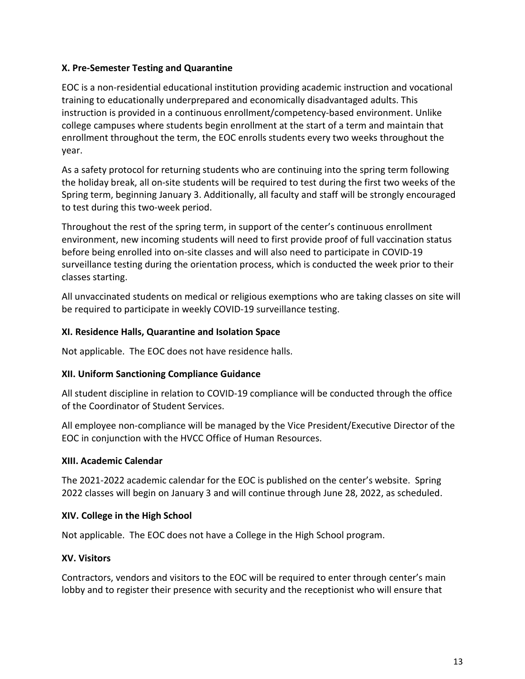### **X. Pre-Semester Testing and Quarantine**

EOC is a non-residential educational institution providing academic instruction and vocational training to educationally underprepared and economically disadvantaged adults. This instruction is provided in a continuous enrollment/competency-based environment. Unlike college campuses where students begin enrollment at the start of a term and maintain that enrollment throughout the term, the EOC enrolls students every two weeks throughout the year.

As a safety protocol for returning students who are continuing into the spring term following the holiday break, all on-site students will be required to test during the first two weeks of the Spring term, beginning January 3. Additionally, all faculty and staff will be strongly encouraged to test during this two-week period.

Throughout the rest of the spring term, in support of the center's continuous enrollment environment, new incoming students will need to first provide proof of full vaccination status before being enrolled into on-site classes and will also need to participate in COVID-19 surveillance testing during the orientation process, which is conducted the week prior to their classes starting.

All unvaccinated students on medical or religious exemptions who are taking classes on site will be required to participate in weekly COVID-19 surveillance testing.

### **XI. Residence Halls, Quarantine and Isolation Space**

Not applicable. The EOC does not have residence halls.

# **XII. Uniform Sanctioning Compliance Guidance**

All student discipline in relation to COVID-19 compliance will be conducted through the office of the Coordinator of Student Services.

All employee non-compliance will be managed by the Vice President/Executive Director of the EOC in conjunction with the HVCC Office of Human Resources.

### **XIII. Academic Calendar**

The 2021-2022 academic calendar for the EOC is published on the center's website. Spring 2022 classes will begin on January 3 and will continue through June 28, 2022, as scheduled.

# **XIV. College in the High School**

Not applicable. The EOC does not have a College in the High School program.

# **XV. Visitors**

Contractors, vendors and visitors to the EOC will be required to enter through center's main lobby and to register their presence with security and the receptionist who will ensure that